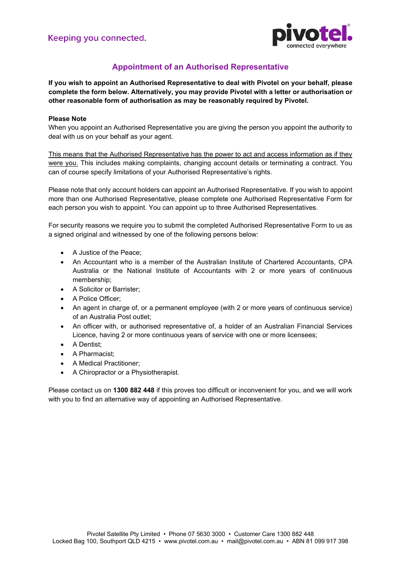

# **Appointment of an Authorised Representative**

**If you wish to appoint an Authorised Representative to deal with Pivotel on your behalf, please complete the form below. Alternatively, you may provide Pivotel with a letter or authorisation or other reasonable form of authorisation as may be reasonably required by Pivotel.** 

#### **Please Note**

When you appoint an Authorised Representative you are giving the person you appoint the authority to deal with us on your behalf as your agent.

This means that the Authorised Representative has the power to act and access information as if they were you. This includes making complaints, changing account details or terminating a contract. You can of course specify limitations of your Authorised Representative's rights.

Please note that only account holders can appoint an Authorised Representative. If you wish to appoint more than one Authorised Representative, please complete one Authorised Representative Form for each person you wish to appoint. You can appoint up to three Authorised Representatives.

For security reasons we require you to submit the completed Authorised Representative Form to us as a signed original and witnessed by one of the following persons below:

- A Justice of the Peace;
- An Accountant who is a member of the Australian Institute of Chartered Accountants, CPA Australia or the National Institute of Accountants with 2 or more years of continuous membership;
- A Solicitor or Barrister;
- A Police Officer;
- An agent in charge of, or a permanent employee (with 2 or more years of continuous service) of an Australia Post outlet;
- An officer with, or authorised representative of, a holder of an Australian Financial Services Licence, having 2 or more continuous years of service with one or more licensees;
- A Dentist<sup>;</sup>
- A Pharmacist;
- A Medical Practitioner;
- A Chiropractor or a Physiotherapist.

Please contact us on **1300 882 448** if this proves too difficult or inconvenient for you, and we will work with you to find an alternative way of appointing an Authorised Representative.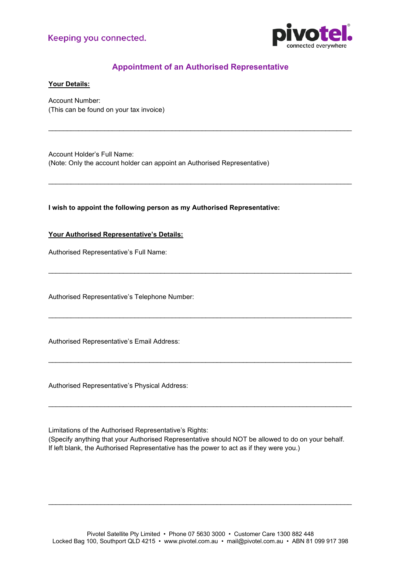

# **Appointment of an Authorised Representative**

\_\_\_\_\_\_\_\_\_\_\_\_\_\_\_\_\_\_\_\_\_\_\_\_\_\_\_\_\_\_\_\_\_\_\_\_\_\_\_\_\_\_\_\_\_\_\_\_\_\_\_\_\_\_\_\_\_\_\_\_\_\_\_\_\_\_\_\_\_\_\_\_\_\_\_\_\_\_\_\_\_

\_\_\_\_\_\_\_\_\_\_\_\_\_\_\_\_\_\_\_\_\_\_\_\_\_\_\_\_\_\_\_\_\_\_\_\_\_\_\_\_\_\_\_\_\_\_\_\_\_\_\_\_\_\_\_\_\_\_\_\_\_\_\_\_\_\_\_\_\_\_\_\_\_\_\_\_\_\_\_\_\_

\_\_\_\_\_\_\_\_\_\_\_\_\_\_\_\_\_\_\_\_\_\_\_\_\_\_\_\_\_\_\_\_\_\_\_\_\_\_\_\_\_\_\_\_\_\_\_\_\_\_\_\_\_\_\_\_\_\_\_\_\_\_\_\_\_\_\_\_\_\_\_\_\_\_\_\_\_\_\_\_\_

\_\_\_\_\_\_\_\_\_\_\_\_\_\_\_\_\_\_\_\_\_\_\_\_\_\_\_\_\_\_\_\_\_\_\_\_\_\_\_\_\_\_\_\_\_\_\_\_\_\_\_\_\_\_\_\_\_\_\_\_\_\_\_\_\_\_\_\_\_\_\_\_\_\_\_\_\_\_\_\_\_

\_\_\_\_\_\_\_\_\_\_\_\_\_\_\_\_\_\_\_\_\_\_\_\_\_\_\_\_\_\_\_\_\_\_\_\_\_\_\_\_\_\_\_\_\_\_\_\_\_\_\_\_\_\_\_\_\_\_\_\_\_\_\_\_\_\_\_\_\_\_\_\_\_\_\_\_\_\_\_\_\_

\_\_\_\_\_\_\_\_\_\_\_\_\_\_\_\_\_\_\_\_\_\_\_\_\_\_\_\_\_\_\_\_\_\_\_\_\_\_\_\_\_\_\_\_\_\_\_\_\_\_\_\_\_\_\_\_\_\_\_\_\_\_\_\_\_\_\_\_\_\_\_\_\_\_\_\_\_\_\_\_\_

**Your Details:**

Account Number: (This can be found on your tax invoice)

Account Holder's Full Name: (Note: Only the account holder can appoint an Authorised Representative)

**I wish to appoint the following person as my Authorised Representative:**

**Your Authorised Representative's Details:**

Authorised Representative's Full Name:

Authorised Representative's Telephone Number:

Authorised Representative's Email Address:

Authorised Representative's Physical Address:

Limitations of the Authorised Representative's Rights:

(Specify anything that your Authorised Representative should NOT be allowed to do on your behalf. If left blank, the Authorised Representative has the power to act as if they were you.)

\_\_\_\_\_\_\_\_\_\_\_\_\_\_\_\_\_\_\_\_\_\_\_\_\_\_\_\_\_\_\_\_\_\_\_\_\_\_\_\_\_\_\_\_\_\_\_\_\_\_\_\_\_\_\_\_\_\_\_\_\_\_\_\_\_\_\_\_\_\_\_\_\_\_\_\_\_\_\_\_\_